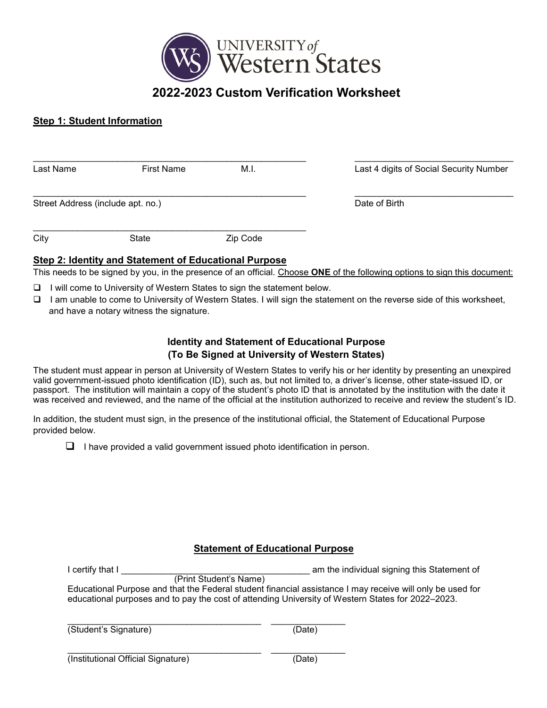

# **Step 1: Student Information**

| Last Name                         | <b>First Name</b> | M.I.     | Last 4 digits of Social Security Number |
|-----------------------------------|-------------------|----------|-----------------------------------------|
| Street Address (include apt. no.) |                   |          | Date of Birth                           |
| City                              | State             | Zip Code |                                         |

## **Step 2: Identity and Statement of Educational Purpose**

This needs to be signed by you, in the presence of an official. Choose **ONE** of the following options to sign this document:

❑ I will come to University of Western States to sign the statement below.

❑ I am unable to come to University of Western States. I will sign the statement on the reverse side of this worksheet, and have a notary witness the signature.

# **Identity and Statement of Educational Purpose (To Be Signed at University of Western States)**

The student must appear in person at University of Western States to verify his or her identity by presenting an unexpired valid government-issued photo identification (ID), such as, but not limited to, a driver's license, other state-issued ID, or passport. The institution will maintain a copy of the student's photo ID that is annotated by the institution with the date it was received and reviewed, and the name of the official at the institution authorized to receive and review the student's ID.

In addition, the student must sign, in the presence of the institutional official, the Statement of Educational Purpose provided below.

❑ I have provided a valid government issued photo identification in person.

## **Statement of Educational Purpose**

| I certify that I                                                                                  | am the individual signing this Statement of                                                               |  |  |  |  |  |
|---------------------------------------------------------------------------------------------------|-----------------------------------------------------------------------------------------------------------|--|--|--|--|--|
| (Print Student's Name)                                                                            |                                                                                                           |  |  |  |  |  |
|                                                                                                   | Educational Purpose and that the Federal student financial assistance I may receive will only be used for |  |  |  |  |  |
| educational purposes and to pay the cost of attending University of Western States for 2022–2023. |                                                                                                           |  |  |  |  |  |
|                                                                                                   |                                                                                                           |  |  |  |  |  |
|                                                                                                   |                                                                                                           |  |  |  |  |  |
| (Student's Signature)                                                                             | (Date)                                                                                                    |  |  |  |  |  |
|                                                                                                   |                                                                                                           |  |  |  |  |  |
|                                                                                                   |                                                                                                           |  |  |  |  |  |
| (Institutional Official Signature)                                                                | (Date)                                                                                                    |  |  |  |  |  |